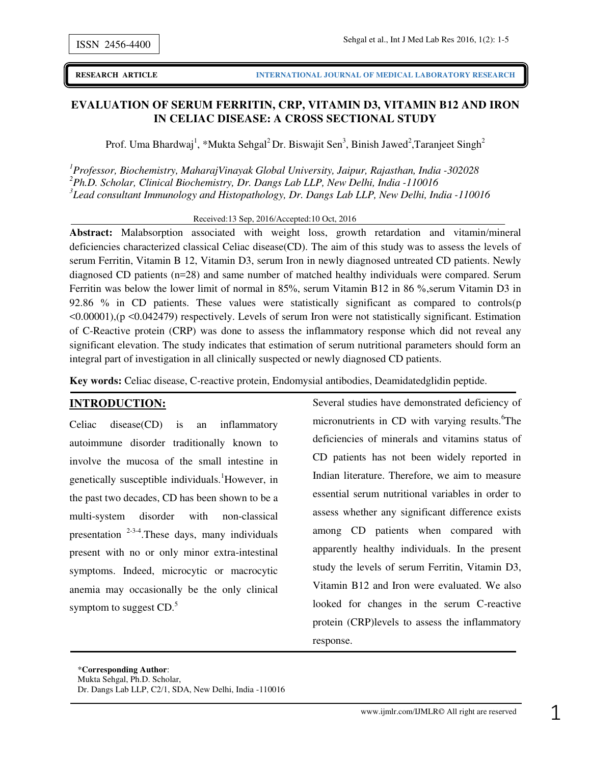**(IJMLR)**

## **EVALUATION OF SERUM FERRITIN, CRP, VITAMIN D3, VITAMIN B12 AND IRON IN CELIAC DISEASE: A CROSS SECTIONAL STUDY**

Prof. Uma Bhardwaj<sup>1</sup>, \*Mukta Sehgal<sup>2</sup> Dr. Biswajit Sen<sup>3</sup>, Binish Jawed<sup>2</sup>, Taranjeet Singh<sup>2</sup>

*<sup>1</sup>Professor, Biochemistry, MaharajVinayak Global University, Jaipur, Rajasthan, India -302028 <sup>2</sup>Ph.D. Scholar, Clinical Biochemistry, Dr. Dangs Lab LLP, New Delhi, India -110016 3 Lead consultant Immunology and Histopathology, Dr. Dangs Lab LLP, New Delhi, India -110016* 

Received:13 Sep, 2016/Accepted:10 Oct, 2016

**Abstract:** Malabsorption associated with weight loss, growth retardation and vitamin/mineral deficiencies characterized classical Celiac disease(CD). The aim of this study was to assess the levels of serum Ferritin, Vitamin B 12, Vitamin D3, serum Iron in newly diagnosed untreated CD patients. Newly diagnosed CD patients (n=28) and same number of matched healthy individuals were compared. Serum Ferritin was below the lower limit of normal in 85%, serum Vitamin B12 in 86 %,serum Vitamin D3 in 92.86 % in CD patients. These values were statistically significant as compared to controls(p <0.00001),(p <0.042479) respectively. Levels of serum Iron were not statistically significant. Estimation of C-Reactive protein (CRP) was done to assess the inflammatory response which did not reveal any significant elevation. The study indicates that estimation of serum nutritional parameters should form an integral part of investigation in all clinically suspected or newly diagnosed CD patients.

**Key words:** Celiac disease, C-reactive protein, Endomysial antibodies, Deamidatedglidin peptide.

### **INTRODUCTION:**

Celiac disease(CD) is an inflammatory autoimmune disorder traditionally known to involve the mucosa of the small intestine in genetically susceptible individuals.<sup>1</sup>However, in the past two decades, CD has been shown to be a multi-system disorder with non-classical presentation  $2-3-4$ . These days, many individuals present with no or only minor extra-intestinal symptoms. Indeed, microcytic or macrocytic anemia may occasionally be the only clinical symptom to suggest  $CD<sup>5</sup>$ .

Several studies have demonstrated deficiency of micronutrients in CD with varying results.<sup>6</sup>The deficiencies of minerals and vitamins status of CD patients has not been widely reported in Indian literature. Therefore, we aim to measure essential serum nutritional variables in order to assess whether any significant difference exists among CD patients when compared with apparently healthy individuals. In the present study the levels of serum Ferritin, Vitamin D3, Vitamin B12 and Iron were evaluated. We also looked for changes in the serum C-reactive protein (CRP)levels to assess the inflammatory response.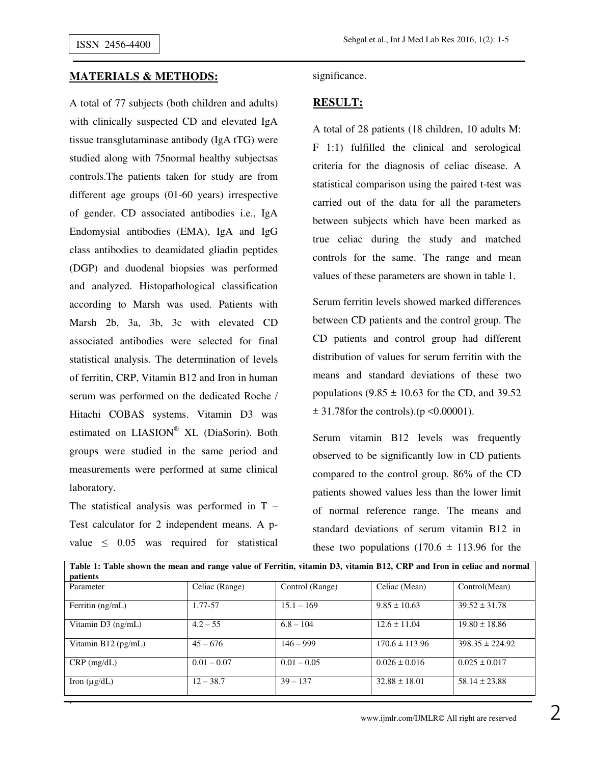#### **MATERIALS & METHODS:**

A total of 77 subjects (both children and adults) with clinically suspected CD and elevated IgA tissue transglutaminase antibody (IgA tTG) were studied along with 75normal healthy subjectsas controls.The patients taken for study are from different age groups (01-60 years) irrespective of gender. CD associated antibodies i.e., IgA Endomysial antibodies (EMA), IgA and IgG class antibodies to deamidated gliadin peptides (DGP) and duodenal biopsies was performed and analyzed. Histopathological classification according to Marsh was used. Patients with Marsh 2b, 3a, 3b, 3c with elevated CD associated antibodies were selected for final statistical analysis. The determination of levels of ferritin, CRP, Vitamin B12 and Iron in human serum was performed on the dedicated Roche / Hitachi COBAS systems. Vitamin D3 was estimated on LIASION® XL (DiaSorin). Both groups were studied in the same period and measurements were performed at same clinical laboratory.

The statistical analysis was performed in  $T -$ Test calculator for 2 independent means. A pvalue  $\leq$  0.05 was required for statistical

**.** 

significance.

### **RESULT:**

A total of 28 patients (18 children, 10 adults M: F 1:1) fulfilled the clinical and serological criteria for the diagnosis of celiac disease. A statistical comparison using the paired t-test was carried out of the data for all the parameters between subjects which have been marked as true celiac during the study and matched controls for the same. The range and mean values of these parameters are shown in table 1.

Serum ferritin levels showed marked differences between CD patients and the control group. The CD patients and control group had different distribution of values for serum ferritin with the means and standard deviations of these two populations  $(9.85 \pm 10.63$  for the CD, and 39.52  $\pm$  31.78 for the controls). (p < 0.00001).

Serum vitamin B12 levels was frequently observed to be significantly low in CD patients compared to the control group. 86% of the CD patients showed values less than the lower limit of normal reference range. The means and standard deviations of serum vitamin B12 in these two populations  $(170.6 \pm 113.96)$  for the

| Table 1: Table shown the mean and range value of Ferritin, vitamin D3, vitamin B12, CRP and Iron in celiac and normal<br>patients |                |                 |                    |                     |
|-----------------------------------------------------------------------------------------------------------------------------------|----------------|-----------------|--------------------|---------------------|
| Parameter                                                                                                                         | Celiac (Range) | Control (Range) | Celiac (Mean)      | Control(Mean)       |
| Ferritin $(ng/mL)$                                                                                                                | 1.77-57        | $15.1 - 169$    | $9.85 \pm 10.63$   | $39.52 \pm 31.78$   |
| Vitamin D3 (ng/mL)                                                                                                                | $4.2 - 55$     | $6.8 - 104$     | $12.6 \pm 11.04$   | $19.80 \pm 18.86$   |
| Vitamin $B12$ (pg/mL)                                                                                                             | $45 - 676$     | $146 - 999$     | $170.6 \pm 113.96$ | $398.35 \pm 224.92$ |
| $CRP$ (mg/dL)                                                                                                                     | $0.01 - 0.07$  | $0.01 - 0.05$   | $0.026 \pm 0.016$  | $0.025 \pm 0.017$   |
| Iron $(\mu g/dL)$                                                                                                                 | $12 - 38.7$    | $39 - 137$      | $32.88 \pm 18.01$  | $58.14 \pm 23.88$   |

www.ijmlr.com/IJMLR© All right are reserved  $\overline{2}$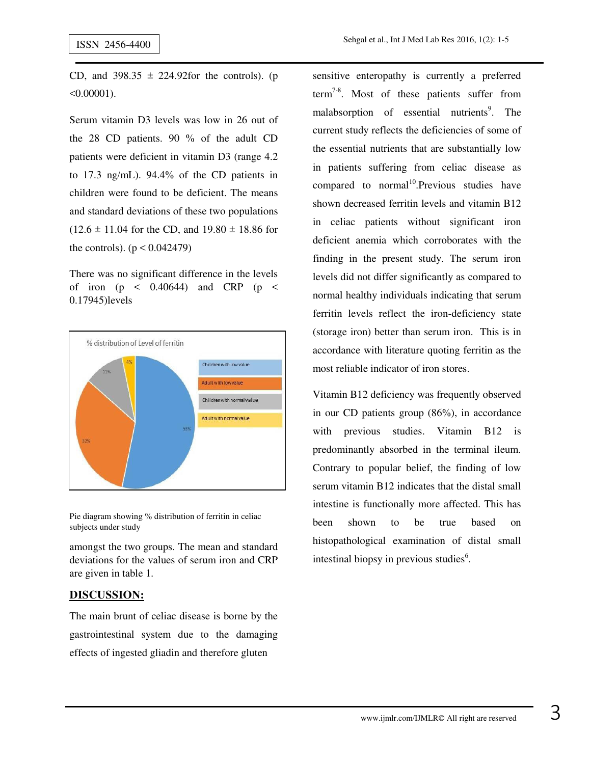CD, and  $398.35 \pm 224.92$  for the controls). (p  $< 0.00001$ ).

Serum vitamin D3 levels was low in 26 out of the 28 CD patients. 90 % of the adult CD patients were deficient in vitamin D3 (range 4.2 to 17.3 ng/mL). 94.4% of the CD patients in children were found to be deficient. The means and standard deviations of these two populations  $(12.6 \pm 11.04$  for the CD, and  $19.80 \pm 18.86$  for the controls).  $(p < 0.042479)$ 

There was no significant difference in the levels of iron ( $p \leq 0.40644$ ) and CRP ( $p \leq$ 0.17945)levels



Pie diagram showing % distribution of ferritin in celiac subjects under study

amongst the two groups. The mean and standard deviations for the values of serum iron and CRP are given in table 1.

### **DISCUSSION:**

The main brunt of celiac disease is borne by the gastrointestinal system due to the damaging effects of ingested gliadin and therefore gluten

sensitive enteropathy is currently a preferred term<sup>7-8</sup>. Most of these patients suffer from malabsorption of essential nutrients<sup>9</sup>. The current study reflects the deficiencies of some of the essential nutrients that are substantially low in patients suffering from celiac disease as compared to normal<sup>10</sup>.Previous studies have shown decreased ferritin levels and vitamin B12 in celiac patients without significant iron deficient anemia which corroborates with the finding in the present study. The serum iron levels did not differ significantly as compared to normal healthy individuals indicating that serum ferritin levels reflect the iron-deficiency state (storage iron) better than serum iron. This is in accordance with literature quoting ferritin as the most reliable indicator of iron stores.

Vitamin B12 deficiency was frequently observed in our CD patients group (86%), in accordance with previous studies. Vitamin B12 is predominantly absorbed in the terminal ileum. Contrary to popular belief, the finding of low serum vitamin B12 indicates that the distal small intestine is functionally more affected. This has been shown to be true based on histopathological examination of distal small intestinal biopsy in previous studies<sup>6</sup>.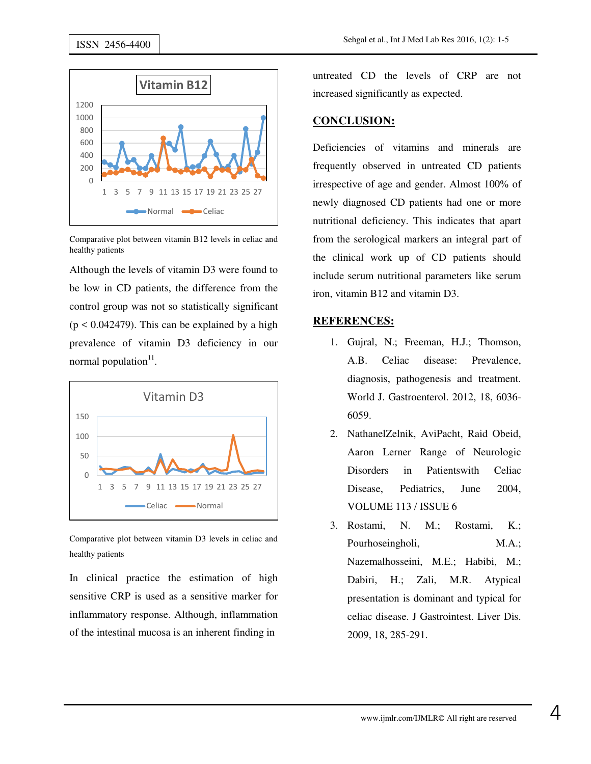

Comparative plot between vitamin B12 levels in celiac and healthy patients

Although the levels of vitamin D3 were found to be low in CD patients, the difference from the control group was not so statistically significant  $(p < 0.042479)$ . This can be explained by a high prevalence of vitamin D3 deficiency in our normal population<sup>11</sup>.



Comparative plot between vitamin D3 levels in celiac and healthy patients

In clinical practice the estimation of high sensitive CRP is used as a sensitive marker for inflammatory response. Although, inflammation of the intestinal mucosa is an inherent finding in

untreated CD the levels of CRP are not increased significantly as expected.

## **CONCLUSION:**

Deficiencies of vitamins and minerals are frequently observed in untreated CD patients irrespective of age and gender. Almost 100% of newly diagnosed CD patients had one or more nutritional deficiency. This indicates that apart from the serological markers an integral part of the clinical work up of CD patients should include serum nutritional parameters like serum iron, vitamin B12 and vitamin D3.

# **REFERENCES:**

- 1. Gujral, N.; Freeman, H.J.; Thomson, A.B. Celiac disease: Prevalence, diagnosis, pathogenesis and treatment. World J. Gastroenterol. 2012, 18, 6036- 6059.
- 2. NathanelZelnik, AviPacht, Raid Obeid, Aaron Lerner Range of Neurologic Disorders in Patientswith Celiac Disease, Pediatrics, June 2004, VOLUME 113 / ISSUE 6
- 3. Rostami, N. M.; Rostami, K.; Pourhoseingholi, M.A.; Nazemalhosseini, M.E.; Habibi, M.; Dabiri, H.; Zali, M.R. Atypical presentation is dominant and typical for celiac disease. J Gastrointest. Liver Dis. 2009, 18, 285-291.